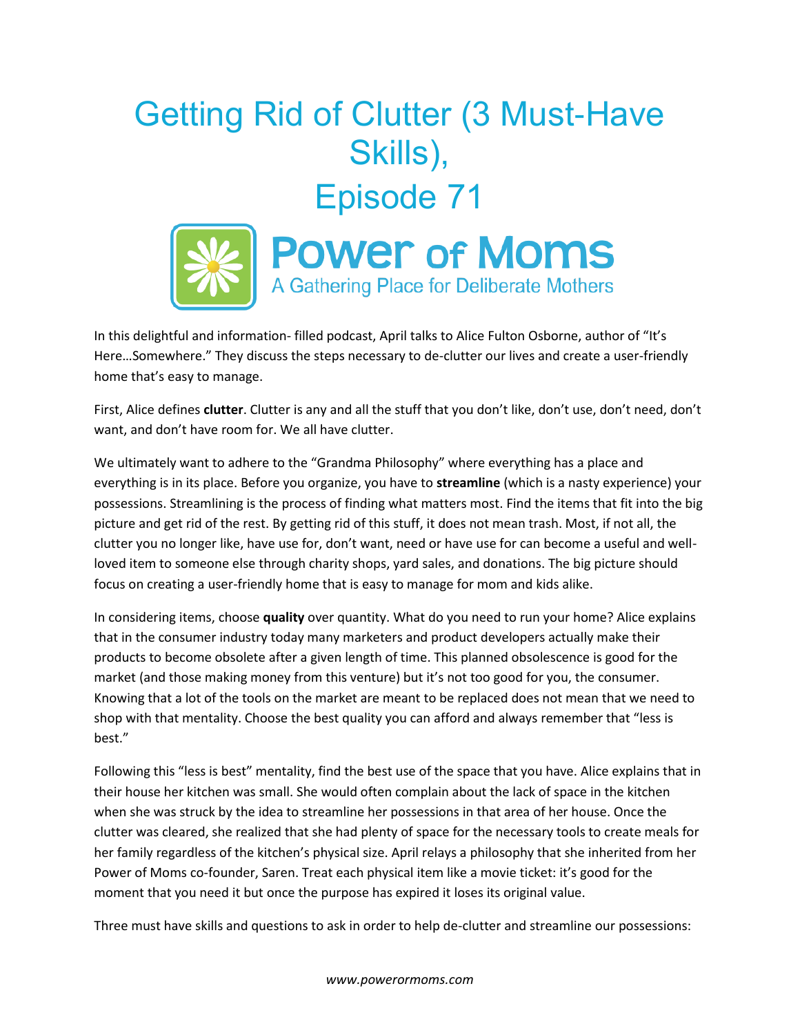## Getting Rid of Clutter (3 Must-Have Skills), Episode 71



In this delightful and information- filled podcast, April talks to Alice Fulton Osborne, author of "It's Here…Somewhere." They discuss the steps necessary to de-clutter our lives and create a user-friendly home that's easy to manage.

First, Alice defines **clutter**. Clutter is any and all the stuff that you don't like, don't use, don't need, don't want, and don't have room for. We all have clutter.

We ultimately want to adhere to the "Grandma Philosophy" where everything has a place and everything is in its place. Before you organize, you have to **streamline** (which is a nasty experience) your possessions. Streamlining is the process of finding what matters most. Find the items that fit into the big picture and get rid of the rest. By getting rid of this stuff, it does not mean trash. Most, if not all, the clutter you no longer like, have use for, don't want, need or have use for can become a useful and wellloved item to someone else through charity shops, yard sales, and donations. The big picture should focus on creating a user-friendly home that is easy to manage for mom and kids alike.

In considering items, choose **quality** over quantity. What do you need to run your home? Alice explains that in the consumer industry today many marketers and product developers actually make their products to become obsolete after a given length of time. This planned obsolescence is good for the market (and those making money from this venture) but it's not too good for you, the consumer. Knowing that a lot of the tools on the market are meant to be replaced does not mean that we need to shop with that mentality. Choose the best quality you can afford and always remember that "less is best."

Following this "less is best" mentality, find the best use of the space that you have. Alice explains that in their house her kitchen was small. She would often complain about the lack of space in the kitchen when she was struck by the idea to streamline her possessions in that area of her house. Once the clutter was cleared, she realized that she had plenty of space for the necessary tools to create meals for her family regardless of the kitchen's physical size. April relays a philosophy that she inherited from her Power of Moms co-founder, Saren. Treat each physical item like a movie ticket: it's good for the moment that you need it but once the purpose has expired it loses its original value.

Three must have skills and questions to ask in order to help de-clutter and streamline our possessions: